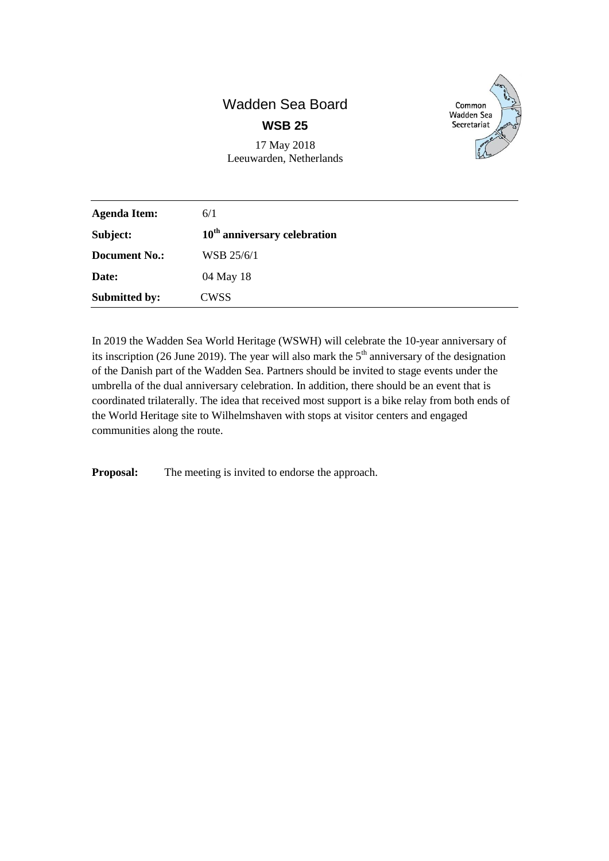## Wadden Sea Board **WSB 25**

17 May 2018 Leeuwarden, Netherlands



| <b>Agenda Item:</b>  | 6/1                            |
|----------------------|--------------------------------|
| Subject:             | $10th$ anniversary celebration |
| <b>Document No.:</b> | WSB 25/6/1                     |
| Date:                | 04 May 18                      |
| <b>Submitted by:</b> | CWSS                           |

In 2019 the Wadden Sea World Heritage (WSWH) will celebrate the 10-year anniversary of its inscription (26 June 2019). The year will also mark the  $5<sup>th</sup>$  anniversary of the designation of the Danish part of the Wadden Sea. Partners should be invited to stage events under the umbrella of the dual anniversary celebration. In addition, there should be an event that is coordinated trilaterally. The idea that received most support is a bike relay from both ends of the World Heritage site to Wilhelmshaven with stops at visitor centers and engaged communities along the route.

**Proposal:** The meeting is invited to endorse the approach.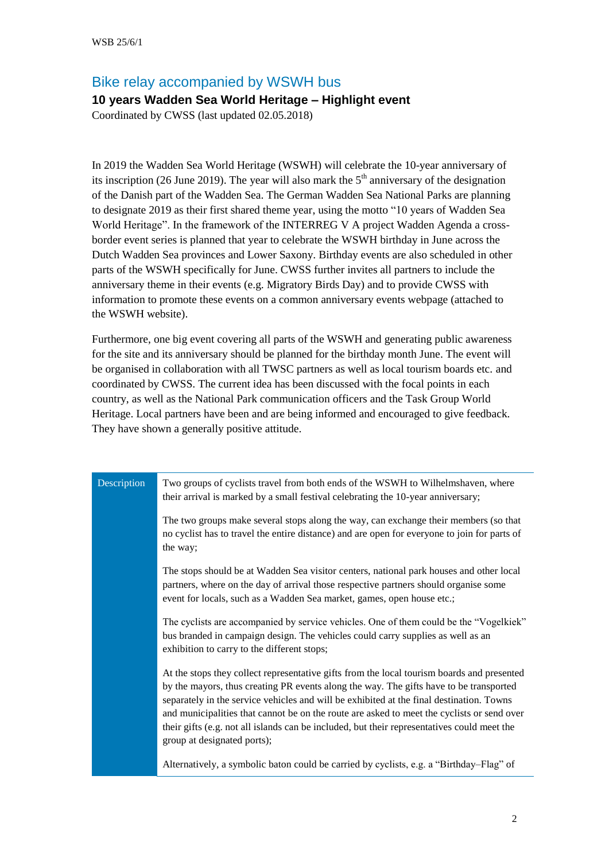## Bike relay accompanied by WSWH bus

## **10 years Wadden Sea World Heritage – Highlight event**

Coordinated by CWSS (last updated 02.05.2018)

In 2019 the Wadden Sea World Heritage (WSWH) will celebrate the 10-year anniversary of its inscription (26 June 2019). The year will also mark the  $5<sup>th</sup>$  anniversary of the designation of the Danish part of the Wadden Sea. The German Wadden Sea National Parks are planning to designate 2019 as their first shared theme year, using the motto "10 years of Wadden Sea World Heritage". In the framework of the INTERREG V A project Wadden Agenda a crossborder event series is planned that year to celebrate the WSWH birthday in June across the Dutch Wadden Sea provinces and Lower Saxony. Birthday events are also scheduled in other parts of the WSWH specifically for June. CWSS further invites all partners to include the anniversary theme in their events (e.g. Migratory Birds Day) and to provide CWSS with information to promote these events on a common anniversary events webpage (attached to the WSWH website).

Furthermore, one big event covering all parts of the WSWH and generating public awareness for the site and its anniversary should be planned for the birthday month June. The event will be organised in collaboration with all TWSC partners as well as local tourism boards etc. and coordinated by CWSS. The current idea has been discussed with the focal points in each country, as well as the National Park communication officers and the Task Group World Heritage. Local partners have been and are being informed and encouraged to give feedback. They have shown a generally positive attitude.

| Description | Two groups of cyclists travel from both ends of the WSWH to Wilhelmshaven, where<br>their arrival is marked by a small festival celebrating the 10-year anniversary;                                                                                                                                                                                                                                                                                                                                         |
|-------------|--------------------------------------------------------------------------------------------------------------------------------------------------------------------------------------------------------------------------------------------------------------------------------------------------------------------------------------------------------------------------------------------------------------------------------------------------------------------------------------------------------------|
|             | The two groups make several stops along the way, can exchange their members (so that<br>no cyclist has to travel the entire distance) and are open for everyone to join for parts of<br>the way;                                                                                                                                                                                                                                                                                                             |
|             | The stops should be at Wadden Sea visitor centers, national park houses and other local<br>partners, where on the day of arrival those respective partners should organise some<br>event for locals, such as a Wadden Sea market, games, open house etc.;                                                                                                                                                                                                                                                    |
|             | The cyclists are accompanied by service vehicles. One of them could be the "Vogelkiek"<br>bus branded in campaign design. The vehicles could carry supplies as well as an<br>exhibition to carry to the different stops;                                                                                                                                                                                                                                                                                     |
|             | At the stops they collect representative gifts from the local tourism boards and presented<br>by the mayors, thus creating PR events along the way. The gifts have to be transported<br>separately in the service vehicles and will be exhibited at the final destination. Towns<br>and municipalities that cannot be on the route are asked to meet the cyclists or send over<br>their gifts (e.g. not all islands can be included, but their representatives could meet the<br>group at designated ports); |
|             | Alternatively, a symbolic baton could be carried by cyclists, e.g. a "Birthday-Flag" of                                                                                                                                                                                                                                                                                                                                                                                                                      |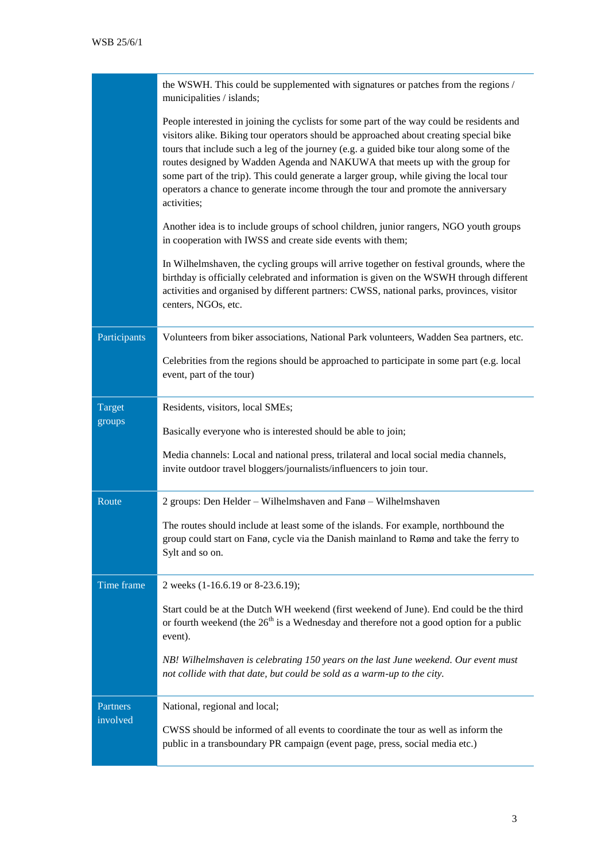|                         | the WSWH. This could be supplemented with signatures or patches from the regions /<br>municipalities / islands;                                                                                                                                                                                                                                                                                                                                                                                                                                                |
|-------------------------|----------------------------------------------------------------------------------------------------------------------------------------------------------------------------------------------------------------------------------------------------------------------------------------------------------------------------------------------------------------------------------------------------------------------------------------------------------------------------------------------------------------------------------------------------------------|
|                         | People interested in joining the cyclists for some part of the way could be residents and<br>visitors alike. Biking tour operators should be approached about creating special bike<br>tours that include such a leg of the journey (e.g. a guided bike tour along some of the<br>routes designed by Wadden Agenda and NAKUWA that meets up with the group for<br>some part of the trip). This could generate a larger group, while giving the local tour<br>operators a chance to generate income through the tour and promote the anniversary<br>activities; |
|                         | Another idea is to include groups of school children, junior rangers, NGO youth groups<br>in cooperation with IWSS and create side events with them;                                                                                                                                                                                                                                                                                                                                                                                                           |
|                         | In Wilhelmshaven, the cycling groups will arrive together on festival grounds, where the<br>birthday is officially celebrated and information is given on the WSWH through different<br>activities and organised by different partners: CWSS, national parks, provinces, visitor<br>centers, NGOs, etc.                                                                                                                                                                                                                                                        |
| Participants            | Volunteers from biker associations, National Park volunteers, Wadden Sea partners, etc.                                                                                                                                                                                                                                                                                                                                                                                                                                                                        |
|                         | Celebrities from the regions should be approached to participate in some part (e.g. local<br>event, part of the tour)                                                                                                                                                                                                                                                                                                                                                                                                                                          |
| <b>Target</b><br>groups | Residents, visitors, local SMEs;                                                                                                                                                                                                                                                                                                                                                                                                                                                                                                                               |
|                         |                                                                                                                                                                                                                                                                                                                                                                                                                                                                                                                                                                |
|                         | Basically everyone who is interested should be able to join;                                                                                                                                                                                                                                                                                                                                                                                                                                                                                                   |
|                         | Media channels: Local and national press, trilateral and local social media channels,<br>invite outdoor travel bloggers/journalists/influencers to join tour.                                                                                                                                                                                                                                                                                                                                                                                                  |
| Route                   | 2 groups: Den Helder - Wilhelmshaven and Fanø - Wilhelmshaven                                                                                                                                                                                                                                                                                                                                                                                                                                                                                                  |
|                         | The routes should include at least some of the islands. For example, northbound the<br>group could start on Fanø, cycle via the Danish mainland to Rømø and take the ferry to<br>Sylt and so on.                                                                                                                                                                                                                                                                                                                                                               |
| Time frame              | 2 weeks (1-16.6.19 or 8-23.6.19);                                                                                                                                                                                                                                                                                                                                                                                                                                                                                                                              |
|                         | Start could be at the Dutch WH weekend (first weekend of June). End could be the third<br>or fourth weekend (the $26th$ is a Wednesday and therefore not a good option for a public<br>event).                                                                                                                                                                                                                                                                                                                                                                 |
|                         | NB! Wilhelmshaven is celebrating 150 years on the last June weekend. Our event must<br>not collide with that date, but could be sold as a warm-up to the city.                                                                                                                                                                                                                                                                                                                                                                                                 |